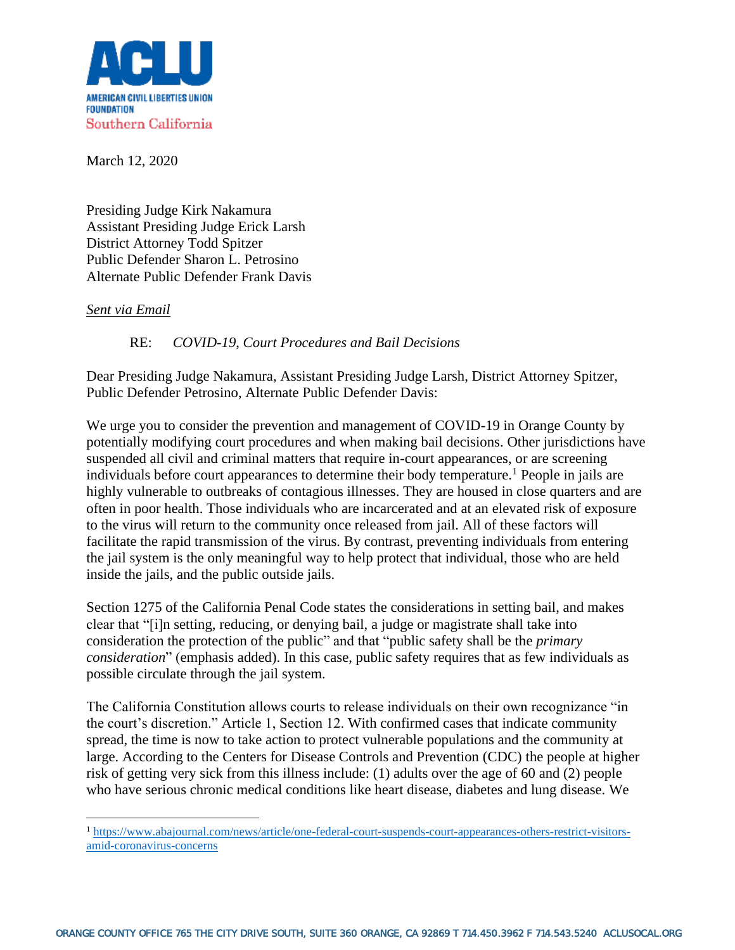

March 12, 2020

Presiding Judge Kirk Nakamura Assistant Presiding Judge Erick Larsh District Attorney Todd Spitzer Public Defender Sharon L. Petrosino Alternate Public Defender Frank Davis

## *Sent via Email*

RE: *COVID-19*, *Court Procedures and Bail Decisions*

Dear Presiding Judge Nakamura, Assistant Presiding Judge Larsh, District Attorney Spitzer, Public Defender Petrosino, Alternate Public Defender Davis:

We urge you to consider the prevention and management of COVID-19 in Orange County by potentially modifying court procedures and when making bail decisions. Other jurisdictions have suspended all civil and criminal matters that require in-court appearances, or are screening individuals before court appearances to determine their body temperature.<sup>1</sup> People in jails are highly vulnerable to outbreaks of contagious illnesses. They are housed in close quarters and are often in poor health. Those individuals who are incarcerated and at an elevated risk of exposure to the virus will return to the community once released from jail. All of these factors will facilitate the rapid transmission of the virus. By contrast, preventing individuals from entering the jail system is the only meaningful way to help protect that individual, those who are held inside the jails, and the public outside jails.

Section 1275 of the California Penal Code states the considerations in setting bail, and makes clear that "[i]n setting, reducing, or denying bail, a judge or magistrate shall take into consideration the protection of the public" and that "public safety shall be the *primary consideration*" (emphasis added). In this case, public safety requires that as few individuals as possible circulate through the jail system.

The California Constitution allows courts to release individuals on their own recognizance "in the court's discretion." Article 1, Section 12. With confirmed cases that indicate community spread, the time is now to take action to protect vulnerable populations and the community at large. According to the Centers for Disease Controls and Prevention (CDC) the people at higher risk of getting very sick from this illness include: (1) adults over the age of 60 and (2) people who have serious chronic medical conditions like heart disease, diabetes and lung disease. We

<sup>1</sup> [https://www.abajournal.com/news/article/one-federal-court-suspends-court-appearances-others-restrict-visitors](https://www.abajournal.com/news/article/one-federal-court-suspends-court-appearances-others-restrict-visitors-amid-coronavirus-concerns)[amid-coronavirus-concerns](https://www.abajournal.com/news/article/one-federal-court-suspends-court-appearances-others-restrict-visitors-amid-coronavirus-concerns)